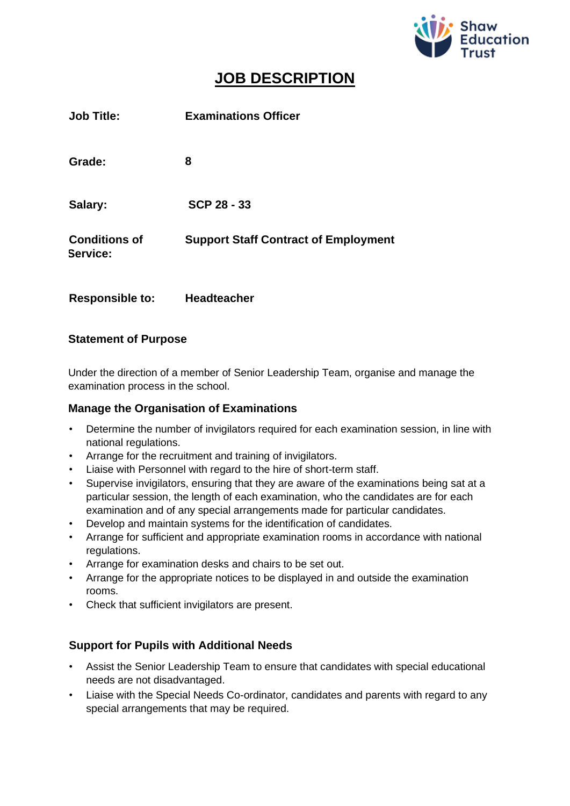

# **JOB DESCRIPTION**

| <b>Job Title:</b>                | <b>Examinations Officer</b>                 |
|----------------------------------|---------------------------------------------|
| Grade:                           | 8                                           |
| Salary:                          | <b>SCP 28 - 33</b>                          |
| <b>Conditions of</b><br>Service: | <b>Support Staff Contract of Employment</b> |
| <b>Responsible to:</b>           | <b>Headteacher</b>                          |

## **Statement of Purpose**

Under the direction of a member of Senior Leadership Team, organise and manage the examination process in the school.

## **Manage the Organisation of Examinations**

- Determine the number of invigilators required for each examination session, in line with national regulations.
- Arrange for the recruitment and training of invigilators.
- Liaise with Personnel with regard to the hire of short-term staff.
- Supervise invigilators, ensuring that they are aware of the examinations being sat at a particular session, the length of each examination, who the candidates are for each examination and of any special arrangements made for particular candidates.
- Develop and maintain systems for the identification of candidates.
- Arrange for sufficient and appropriate examination rooms in accordance with national regulations.
- Arrange for examination desks and chairs to be set out.
- Arrange for the appropriate notices to be displayed in and outside the examination rooms.
- Check that sufficient invigilators are present.

# **Support for Pupils with Additional Needs**

- Assist the Senior Leadership Team to ensure that candidates with special educational needs are not disadvantaged.
- Liaise with the Special Needs Co-ordinator, candidates and parents with regard to any special arrangements that may be required.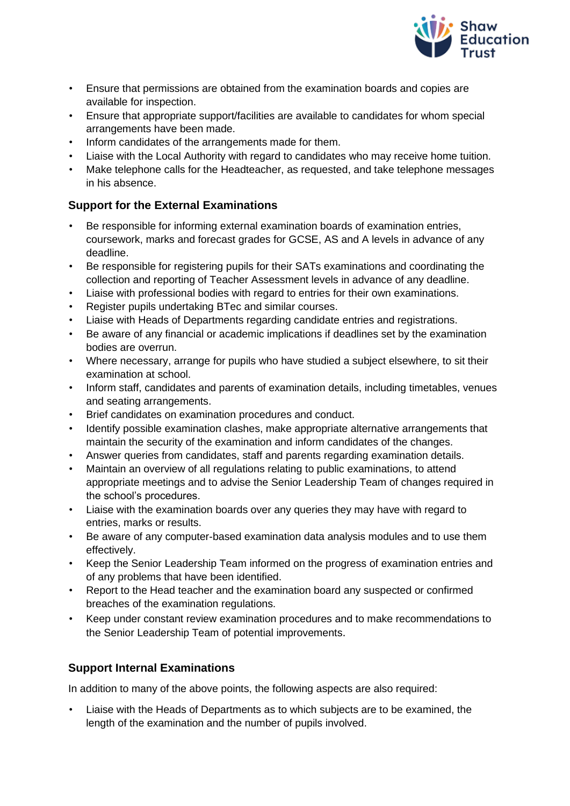

- Ensure that permissions are obtained from the examination boards and copies are available for inspection.
- Ensure that appropriate support/facilities are available to candidates for whom special arrangements have been made.
- Inform candidates of the arrangements made for them.
- Liaise with the Local Authority with regard to candidates who may receive home tuition.
- Make telephone calls for the Headteacher, as requested, and take telephone messages in his absence.

# **Support for the External Examinations**

- Be responsible for informing external examination boards of examination entries, coursework, marks and forecast grades for GCSE, AS and A levels in advance of any deadline.
- Be responsible for registering pupils for their SATs examinations and coordinating the collection and reporting of Teacher Assessment levels in advance of any deadline.
- Liaise with professional bodies with regard to entries for their own examinations.
- Register pupils undertaking BTec and similar courses.
- Liaise with Heads of Departments regarding candidate entries and registrations.
- Be aware of any financial or academic implications if deadlines set by the examination bodies are overrun.
- Where necessary, arrange for pupils who have studied a subject elsewhere, to sit their examination at school.
- Inform staff, candidates and parents of examination details, including timetables, venues and seating arrangements.
- Brief candidates on examination procedures and conduct.
- Identify possible examination clashes, make appropriate alternative arrangements that maintain the security of the examination and inform candidates of the changes.
- Answer queries from candidates, staff and parents regarding examination details.
- Maintain an overview of all regulations relating to public examinations, to attend appropriate meetings and to advise the Senior Leadership Team of changes required in the school's procedures.
- Liaise with the examination boards over any queries they may have with regard to entries, marks or results.
- Be aware of any computer-based examination data analysis modules and to use them effectively.
- Keep the Senior Leadership Team informed on the progress of examination entries and of any problems that have been identified.
- Report to the Head teacher and the examination board any suspected or confirmed breaches of the examination regulations.
- Keep under constant review examination procedures and to make recommendations to the Senior Leadership Team of potential improvements.

# **Support Internal Examinations**

In addition to many of the above points, the following aspects are also required:

• Liaise with the Heads of Departments as to which subjects are to be examined, the length of the examination and the number of pupils involved.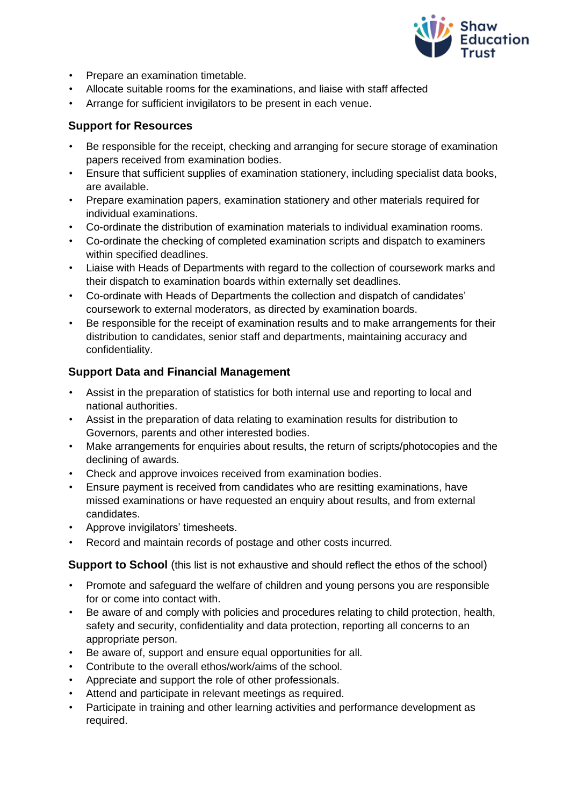

- Prepare an examination timetable.
- Allocate suitable rooms for the examinations, and liaise with staff affected
- Arrange for sufficient invigilators to be present in each venue.

## **Support for Resources**

- Be responsible for the receipt, checking and arranging for secure storage of examination papers received from examination bodies.
- Ensure that sufficient supplies of examination stationery, including specialist data books, are available.
- Prepare examination papers, examination stationery and other materials required for individual examinations.
- Co-ordinate the distribution of examination materials to individual examination rooms.
- Co-ordinate the checking of completed examination scripts and dispatch to examiners within specified deadlines.
- Liaise with Heads of Departments with regard to the collection of coursework marks and their dispatch to examination boards within externally set deadlines.
- Co-ordinate with Heads of Departments the collection and dispatch of candidates' coursework to external moderators, as directed by examination boards.
- Be responsible for the receipt of examination results and to make arrangements for their distribution to candidates, senior staff and departments, maintaining accuracy and confidentiality.

## **Support Data and Financial Management**

- Assist in the preparation of statistics for both internal use and reporting to local and national authorities.
- Assist in the preparation of data relating to examination results for distribution to Governors, parents and other interested bodies.
- Make arrangements for enquiries about results, the return of scripts/photocopies and the declining of awards.
- Check and approve invoices received from examination bodies.
- Ensure payment is received from candidates who are resitting examinations, have missed examinations or have requested an enquiry about results, and from external candidates.
- Approve invigilators' timesheets.
- Record and maintain records of postage and other costs incurred.

**Support to School** (this list is not exhaustive and should reflect the ethos of the school)

- Promote and safeguard the welfare of children and young persons you are responsible for or come into contact with.
- Be aware of and comply with policies and procedures relating to child protection, health, safety and security, confidentiality and data protection, reporting all concerns to an appropriate person.
- Be aware of, support and ensure equal opportunities for all.
- Contribute to the overall ethos/work/aims of the school.
- Appreciate and support the role of other professionals.
- Attend and participate in relevant meetings as required.
- Participate in training and other learning activities and performance development as required.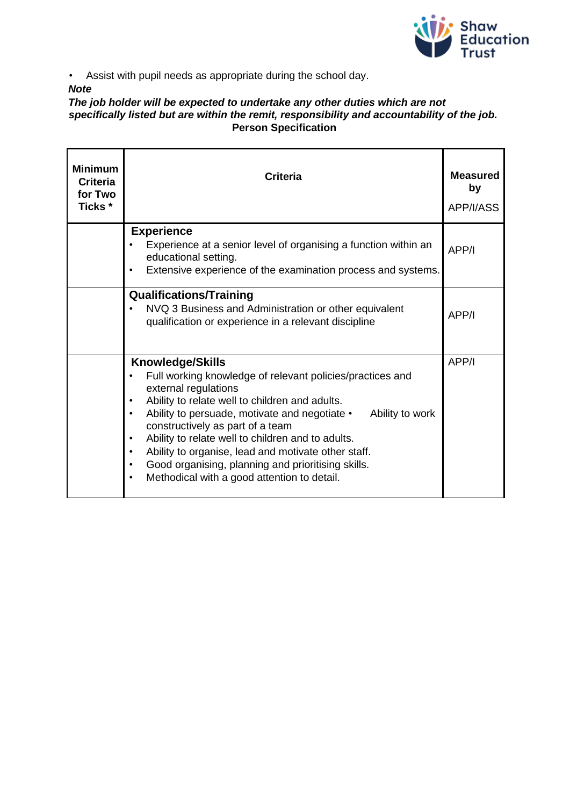

• Assist with pupil needs as appropriate during the school day.

#### *Note*

#### *The job holder will be expected to undertake any other duties which are not specifically listed but are within the remit, responsibility and accountability of the job.*  **Person Specification**

| <b>Minimum</b><br><b>Criteria</b><br>for Two<br>Ticks * | <b>Criteria</b>                                                                                                                                                                                                                                                                                                                                                                                                                                                                                                                             | <b>Measured</b><br>by<br>APP/I/ASS |
|---------------------------------------------------------|---------------------------------------------------------------------------------------------------------------------------------------------------------------------------------------------------------------------------------------------------------------------------------------------------------------------------------------------------------------------------------------------------------------------------------------------------------------------------------------------------------------------------------------------|------------------------------------|
|                                                         | <b>Experience</b><br>Experience at a senior level of organising a function within an<br>educational setting.<br>Extensive experience of the examination process and systems.                                                                                                                                                                                                                                                                                                                                                                | APP/I                              |
|                                                         | <b>Qualifications/Training</b><br>NVQ 3 Business and Administration or other equivalent<br>qualification or experience in a relevant discipline                                                                                                                                                                                                                                                                                                                                                                                             | APP/I                              |
|                                                         | <b>Knowledge/Skills</b><br>Full working knowledge of relevant policies/practices and<br>external regulations<br>Ability to relate well to children and adults.<br>$\bullet$<br>Ability to persuade, motivate and negotiate •<br>Ability to work<br>$\bullet$<br>constructively as part of a team<br>Ability to relate well to children and to adults.<br>$\bullet$<br>Ability to organise, lead and motivate other staff.<br>Good organising, planning and prioritising skills.<br>Methodical with a good attention to detail.<br>$\bullet$ | APP/I                              |